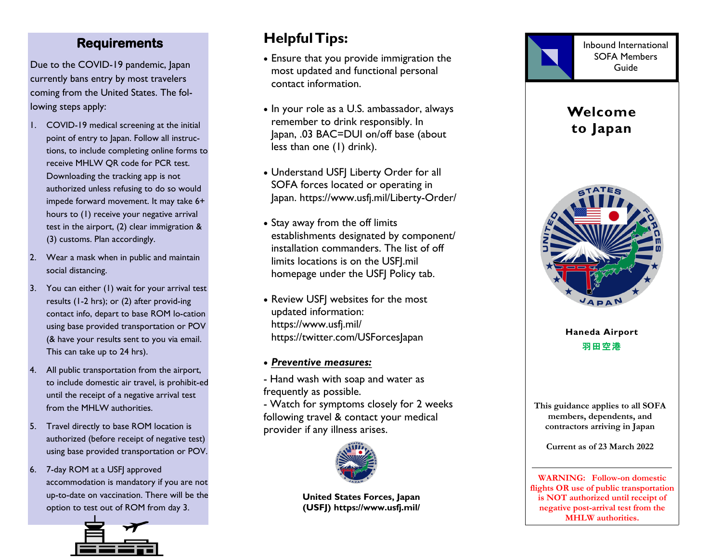### **Requirements**

Due to the COVID -19 pandemic, Japan currently bans entry by most travelers coming from the United States. The following steps apply:

- 1. COVID-19 medical screening at the initial point of entry to Japan. Follow all instructions, to include completing online forms to receive MHLW QR code for PCR test. Downloading the tracking app is not authorized unless refusing to do so would impede forward movement. It may take 6+ hours to (1) receive your negative arrival test in the airport, (2) clear immigration & (3) customs. Plan accordingly.
- 2. Wear a mask when in public and maintain social distancing.
- 3. You can either (1) wait for your arrival test results (1-2 hrs); or (2) after provid-ing contact info, depart to base ROM lo-cation using base provided transportation or POV (& have your results sent to you via email. This can take up to 24 hrs).
- 4. All public transportation from the airport, to include domestic air travel, is prohibit-ed until the receipt of a negative arrival test from the MHLW authorities .
- 5. Travel directly to base ROM location is authorized (before receipt of negative test) using base provided transportation or POV.
- 6. 7-day ROM at a USFJ approved accommodation is mandatory if you are not up-to-date on vaccination. There will be the option to test out of ROM from day 3.



# **Helpful Tips:**

- Ensure that you provide immigration the most updated and functional personal contact information.
- In your role as a U.S. ambassador, always remember to drink responsibly. In Japan, .03 BAC=DUI on/off base (about less than one (1) drink).
- Understand USFJ Liberty Order for all SOFA forces located or operating in Japan. https://www.usfj.mil/Liberty-Order/
- Stay away from the off limits establishments designated by component/ installation commanders. The list of off limits locations is on the USFJ.mil homepage under the USFJ Policy tab.
- Review USFJ websites for the most updated information: https://www.usfj.mil/ https://twitter.com/USForcesJapan
- *Preventive measures:*

- Hand wash with soap and water as frequently as possible.

- Watch for symptoms closely for 2 weeks following travel & contact your medical provider if any illness arises.



**United States Forces , Japan (USFJ) https://www.usfj.mil/**